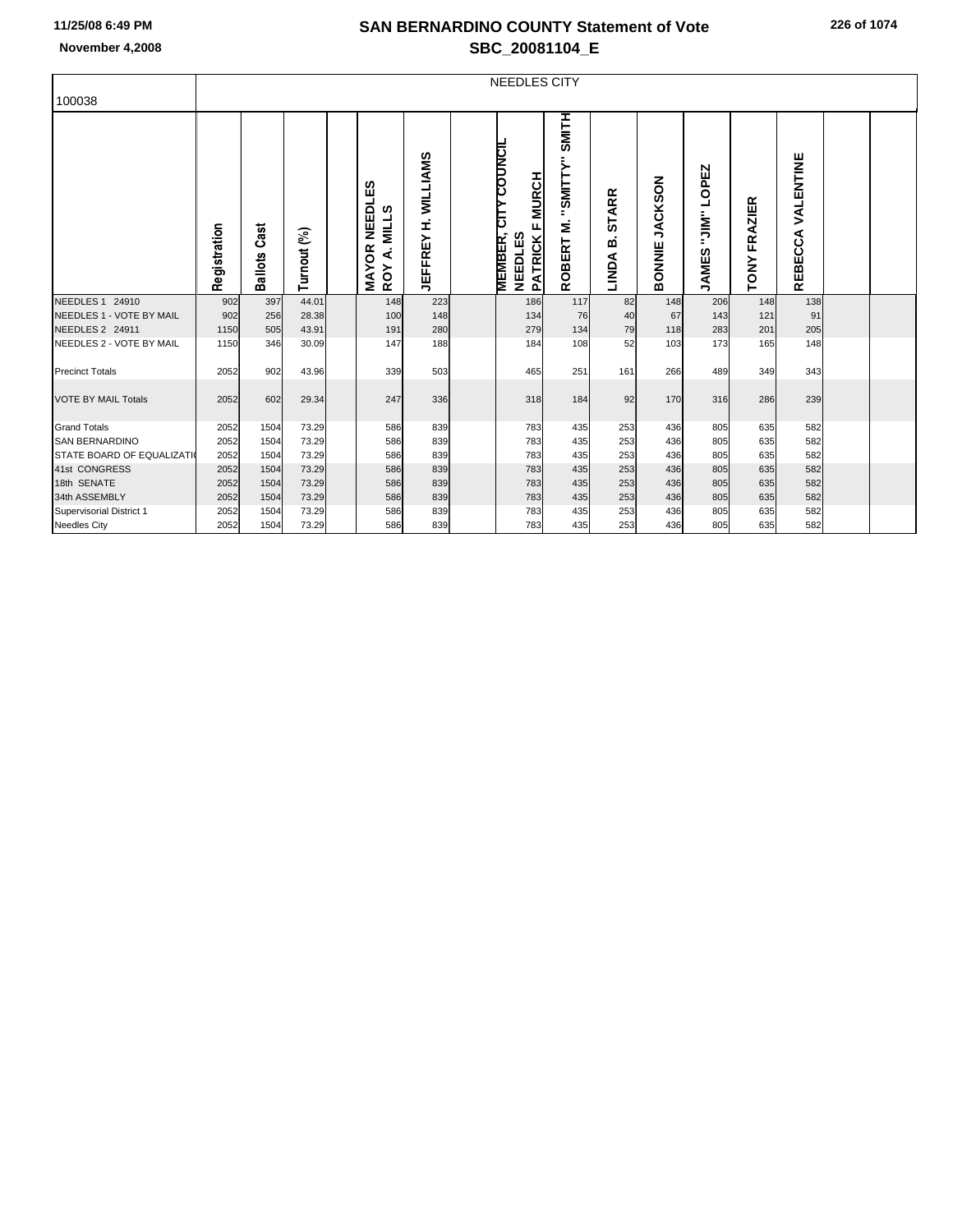## **SAN BERNARDINO COUNTY Statement of Vote November 4,2008 SBC\_20081104\_E**

| 100038                           | NEEDLES CITY |                     |             |  |                                                   |                            |  |                                                                                                  |                                         |                            |                                 |                                          |                               |                      |  |  |
|----------------------------------|--------------|---------------------|-------------|--|---------------------------------------------------|----------------------------|--|--------------------------------------------------------------------------------------------------|-----------------------------------------|----------------------------|---------------------------------|------------------------------------------|-------------------------------|----------------------|--|--|
|                                  | Registration | <b>Ballots Cast</b> | Turnout (%) |  | <b>NEEDLES</b><br>A. MILLS<br><b>MAYOR</b><br>ROY | <b>JEFFREY H. WILLIAMS</b> |  | <b>COUNCIL</b><br><b>MURCH</b><br>٣L<br>L,<br><b>MEMBER,</b><br><b>NEEDLES</b><br><b>PATRICK</b> | SMITH<br>"SMITTY"<br>ξ<br><b>ROBERT</b> | <b>STARR</b><br>≃<br>LINDA | <b>JACKSON</b><br><b>BONNIE</b> | OPEZ<br>┙<br>…<br>…<br>…<br><b>JAMES</b> | <b>FRAZIER</b><br><b>TONY</b> | VALENTINE<br>REBECCA |  |  |
| NEEDLES 1 24910                  | 902          | 397                 | 44.01       |  | 148                                               | 223                        |  | 186                                                                                              | 117                                     | 82                         | 148                             | 206                                      | 148                           | 138                  |  |  |
| NEEDLES 1 - VOTE BY MAIL         | 902          | 256                 | 28.38       |  | 100                                               | 148                        |  | 134                                                                                              | 76                                      | 40                         | 67                              | 143                                      | 121                           | 91                   |  |  |
| NEEDLES 2 24911                  | 1150         | 505                 | 43.91       |  | 191                                               | 280                        |  | 279                                                                                              | 134                                     | 79                         | 118                             | 283                                      | 201                           | 205                  |  |  |
| NEEDLES 2 - VOTE BY MAIL         | 1150         | 346                 | 30.09       |  | 147                                               | 188                        |  | 184                                                                                              | 108                                     | 52                         | 103                             | 173                                      | 165                           | 148                  |  |  |
| <b>Precinct Totals</b>           | 2052         | 902                 | 43.96       |  | 339                                               | 503                        |  | 465                                                                                              | 251                                     | 161                        | 266                             | 489                                      | 349                           | 343                  |  |  |
| <b>VOTE BY MAIL Totals</b>       | 2052         | 602                 | 29.34       |  | 247                                               | 336                        |  | 318                                                                                              | 184                                     | 92                         | 170                             | 316                                      | 286                           | 239                  |  |  |
| <b>Grand Totals</b>              | 2052         | 1504                | 73.29       |  | 586                                               | 839                        |  | 783                                                                                              | 435                                     | 253                        | 436                             | 805                                      | 635                           | 582                  |  |  |
| <b>SAN BERNARDINO</b>            | 2052         | 1504                | 73.29       |  | 586                                               | 839                        |  | 783                                                                                              | 435                                     | 253                        | 436                             | 805                                      | 635                           | 582                  |  |  |
| <b>STATE BOARD OF EQUALIZATI</b> | 2052         | 1504                | 73.29       |  | 586                                               | 839                        |  | 783                                                                                              | 435                                     | 253                        | 436                             | 805                                      | 635                           | 582                  |  |  |
| 41st CONGRESS                    | 2052         | 1504                | 73.29       |  | 586                                               | 839                        |  | 783                                                                                              | 435                                     | 253                        | 436                             | 805                                      | 635                           | 582                  |  |  |
| 18th SENATE                      | 2052         | 1504                | 73.29       |  | 586                                               | 839                        |  | 783                                                                                              | 435                                     | 253                        | 436                             | 805                                      | 635                           | 582                  |  |  |
| 34th ASSEMBLY                    | 2052         | 1504                | 73.29       |  | 586                                               | 839                        |  | 783                                                                                              | 435                                     | 253                        | 436                             | 805                                      | 635                           | 582                  |  |  |
| Supervisorial District 1         | 2052         | 1504                | 73.29       |  | 586                                               | 839                        |  | 783                                                                                              | 435                                     | 253                        | 436                             | 805                                      | 635                           | 582                  |  |  |
| <b>Needles City</b>              | 2052         | 1504                | 73.29       |  | 586                                               | 839                        |  | 783                                                                                              | 435                                     | 253                        | 436                             | 805                                      | 635                           | 582                  |  |  |